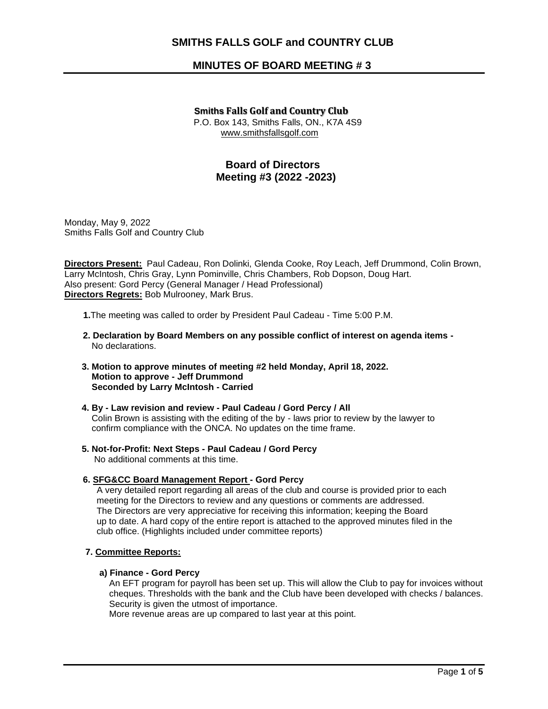# **SMITHS FALLS GOLF and COUNTRY CLUB**

# **MINUTES OF BOARD MEETING # 3**

# **Smiths Falls Golf and Country Club** P.O. Box 143, Smiths Falls, ON., K7A 4S9 www.smithsfallsgolf.com

# **Board of Directors Meeting #3 (2022 -2023)**

Monday, May 9, 2022 Smiths Falls Golf and Country Club

**Directors Present:** Paul Cadeau, Ron Dolinki, Glenda Cooke, Roy Leach, Jeff Drummond, Colin Brown, Larry McIntosh, Chris Gray, Lynn Pominville, Chris Chambers, Rob Dopson, Doug Hart. Also present: Gord Percy (General Manager / Head Professional) **Directors Regrets:** Bob Mulrooney, Mark Brus.

**1.**The meeting was called to order by President Paul Cadeau - Time 5:00 P.M.

- **2. Declaration by Board Members on any possible conflict of interest on agenda items** No declarations.
- **3. Motion to approve minutes of meeting #2 held Monday, April 18, 2022. Motion to approve - Jeff Drummond Seconded by Larry McIntosh - Carried**
- **4. By - Law revision and review - Paul Cadeau / Gord Percy / All** Colin Brown is assisting with the editing of the by - laws prior to review by the lawyer to confirm compliance with the ONCA. No updates on the time frame.
- **5. Not-for-Profit: Next Steps - Paul Cadeau / Gord Percy** No additional comments at this time.
- **6. SFG&CC Board Management Report - Gord Percy**

 A very detailed report regarding all areas of the club and course is provided prior to each meeting for the Directors to review and any questions or comments are addressed. The Directors are very appreciative for receiving this information; keeping the Board up to date. A hard copy of the entire report is attached to the approved minutes filed in the club office. (Highlights included under committee reports)

# **7. Committee Reports:**

## **a) Finance - Gord Percy**

 An EFT program for payroll has been set up. This will allow the Club to pay for invoices without cheques. Thresholds with the bank and the Club have been developed with checks / balances. Security is given the utmost of importance.

More revenue areas are up compared to last year at this point.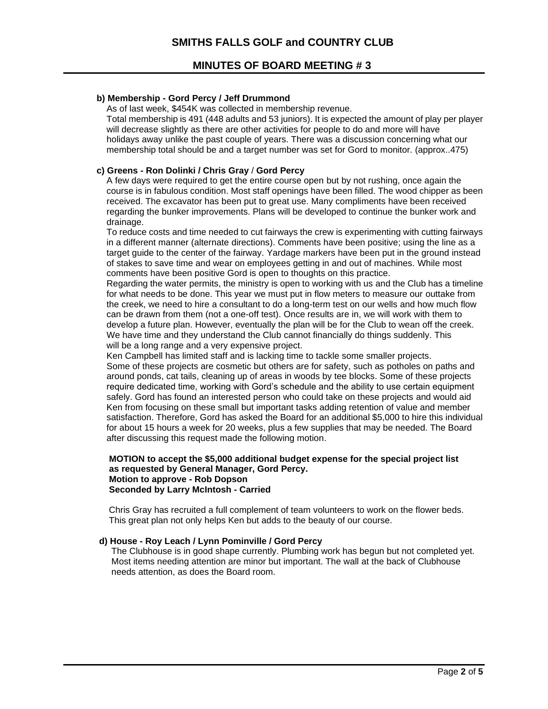# **MINUTES OF BOARD MEETING # 3**

# **b) Membership - Gord Percy / Jeff Drummond**

As of last week, \$454K was collected in membership revenue.

 Total membership is 491 (448 adults and 53 juniors). It is expected the amount of play per player will decrease slightly as there are other activities for people to do and more will have holidays away unlike the past couple of years. There was a discussion concerning what our membership total should be and a target number was set for Gord to monitor. (approx..475)

# **c) Greens - Ron Dolinki / Chris Gray** / **Gord Percy**

 A few days were required to get the entire course open but by not rushing, once again the course is in fabulous condition. Most staff openings have been filled. The wood chipper as been received. The excavator has been put to great use. Many compliments have been received regarding the bunker improvements. Plans will be developed to continue the bunker work and drainage.

 To reduce costs and time needed to cut fairways the crew is experimenting with cutting fairways in a different manner (alternate directions). Comments have been positive; using the line as a target guide to the center of the fairway. Yardage markers have been put in the ground instead of stakes to save time and wear on employees getting in and out of machines. While most comments have been positive Gord is open to thoughts on this practice.

 Regarding the water permits, the ministry is open to working with us and the Club has a timeline for what needs to be done. This year we must put in flow meters to measure our outtake from the creek, we need to hire a consultant to do a long-term test on our wells and how much flow can be drawn from them (not a one-off test). Once results are in, we will work with them to develop a future plan. However, eventually the plan will be for the Club to wean off the creek. We have time and they understand the Club cannot financially do things suddenly. This will be a long range and a very expensive project.

 Ken Campbell has limited staff and is lacking time to tackle some smaller projects. Some of these projects are cosmetic but others are for safety, such as potholes on paths and around ponds, cat tails, cleaning up of areas in woods by tee blocks. Some of these projects require dedicated time, working with Gord's schedule and the ability to use certain equipment safely. Gord has found an interested person who could take on these projects and would aid Ken from focusing on these small but important tasks adding retention of value and member satisfaction. Therefore, Gord has asked the Board for an additional \$5,000 to hire this individual for about 15 hours a week for 20 weeks, plus a few supplies that may be needed. The Board after discussing this request made the following motion.

## **MOTION to accept the \$5,000 additional budget expense for the special project list as requested by General Manager, Gord Percy. Motion to approve - Rob Dopson Seconded by Larry McIntosh - Carried**

Chris Gray has recruited a full complement of team volunteers to work on the flower beds. This great plan not only helps Ken but adds to the beauty of our course.

## **d) House - Roy Leach / Lynn Pominville / Gord Percy**

 The Clubhouse is in good shape currently. Plumbing work has begun but not completed yet. Most items needing attention are minor but important. The wall at the back of Clubhouse needs attention, as does the Board room.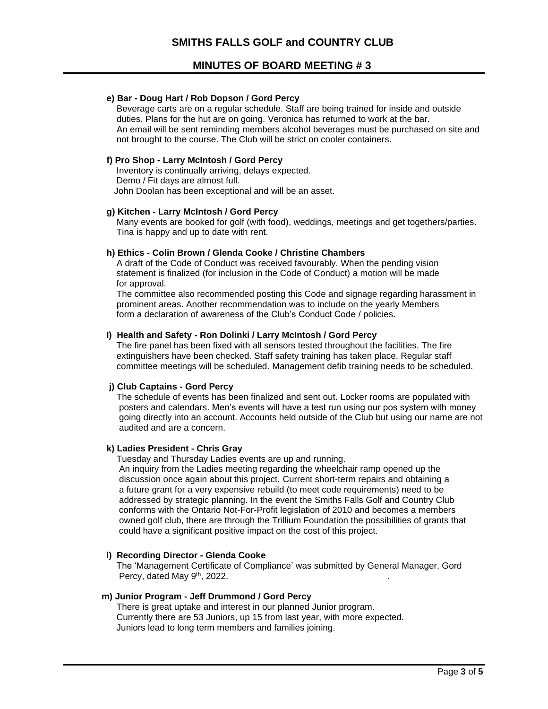# **MINUTES OF BOARD MEETING # 3**

## **e) Bar - Doug Hart / Rob Dopson / Gord Percy**

 Beverage carts are on a regular schedule. Staff are being trained for inside and outside duties. Plans for the hut are on going. Veronica has returned to work at the bar. An email will be sent reminding members alcohol beverages must be purchased on site and not brought to the course. The Club will be strict on cooler containers.

#### **f) Pro Shop - Larry McIntosh / Gord Percy**

Inventory is continually arriving, delays expected. Demo / Fit days are almost full. John Doolan has been exceptional and will be an asset.

# **g) Kitchen - Larry McIntosh / Gord Percy**

Many events are booked for golf (with food), weddings, meetings and get togethers/parties. Tina is happy and up to date with rent.

#### **h) Ethics - Colin Brown / Glenda Cooke / Christine Chambers**

A draft of the Code of Conduct was received favourably. When the pending vision statement is finalized (for inclusion in the Code of Conduct) a motion will be made for approval.

 The committee also recommended posting this Code and signage regarding harassment in prominent areas. Another recommendation was to include on the yearly Members form a declaration of awareness of the Club's Conduct Code / policies.

## **I) Health and Safety - Ron Dolinki / Larry McIntosh / Gord Percy**

The fire panel has been fixed with all sensors tested throughout the facilities. The fire extinguishers have been checked. Staff safety training has taken place. Regular staff committee meetings will be scheduled. Management defib training needs to be scheduled.

## **j) Club Captains - Gord Percy**

The schedule of events has been finalized and sent out. Locker rooms are populated with posters and calendars. Men's events will have a test run using our pos system with money going directly into an account. Accounts held outside of the Club but using our name are not audited and are a concern.

# **k) Ladies President - Chris Gray**

Tuesday and Thursday Ladies events are up and running.

 An inquiry from the Ladies meeting regarding the wheelchair ramp opened up the discussion once again about this project. Current short-term repairs and obtaining a a future grant for a very expensive rebuild (to meet code requirements) need to be addressed by strategic planning. In the event the Smiths Falls Golf and Country Club conforms with the Ontario Not-For-Profit legislation of 2010 and becomes a members owned golf club, there are through the Trillium Foundation the possibilities of grants that could have a significant positive impact on the cost of this project.

#### **l) Recording Director - Glenda Cooke**

 The 'Management Certificate of Compliance' was submitted by General Manager, Gord Percy, dated May 9<sup>th</sup>, 2022. **Example 20** in the set of the set of the set of the set of the set of the set of the set of the set of the set of the set of the set of the set of the set of the set of the set of the set of

## **m) Junior Program - Jeff Drummond / Gord Percy**

There is great uptake and interest in our planned Junior program. Currently there are 53 Juniors, up 15 from last year, with more expected. Juniors lead to long term members and families joining.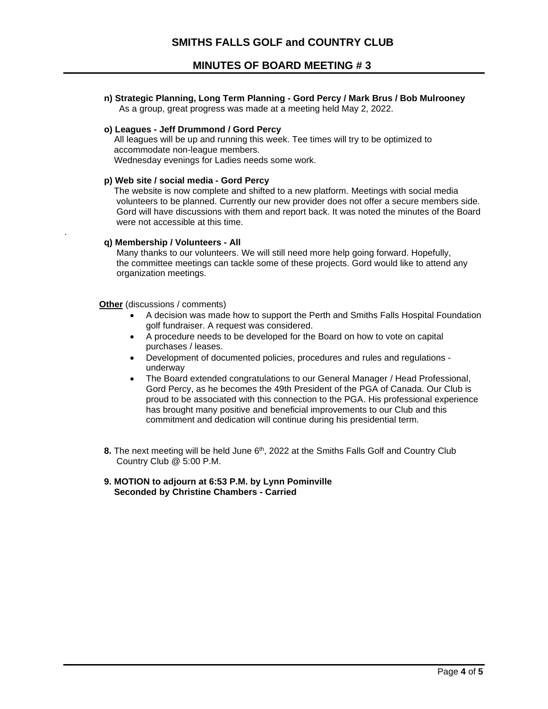**MINUTES OF BOARD MEETING # 3**

 **n) Strategic Planning, Long Term Planning - Gord Percy / Mark Brus / Bob Mulrooney**  As a group, great progress was made at a meeting held May 2, 2022.

## **o) Leagues - Jeff Drummond / Gord Percy**

All leagues will be up and running this week. Tee times will try to be optimized to accommodate non-league members. Wednesday evenings for Ladies needs some work.

#### **p) Web site / social media - Gord Percy**

The website is now complete and shifted to a new platform. Meetings with social media volunteers to be planned. Currently our new provider does not offer a secure members side. Gord will have discussions with them and report back. It was noted the minutes of the Board were not accessible at this time.

#### **q) Membership / Volunteers - All**

.

Many thanks to our volunteers. We will still need more help going forward. Hopefully, the committee meetings can tackle some of these projects. Gord would like to attend any organization meetings.

**Other** (discussions / comments)

- A decision was made how to support the Perth and Smiths Falls Hospital Foundation golf fundraiser. A request was considered.
- A procedure needs to be developed for the Board on how to vote on capital purchases / leases.
- Development of documented policies, procedures and rules and regulations underway
- The Board extended congratulations to our General Manager / Head Professional, Gord Percy, as he becomes the 49th President of the PGA of Canada. Our Club is proud to be associated with this connection to the PGA. His professional experience has brought many positive and beneficial improvements to our Club and this commitment and dedication will continue during his presidential term.
- **8.** The next meeting will be held June 6<sup>th</sup>, 2022 at the Smiths Falls Golf and Country Club Country Club @ 5:00 P.M.
	- **9. MOTION to adjourn at 6:53 P.M. by Lynn Pominville Seconded by Christine Chambers - Carried**